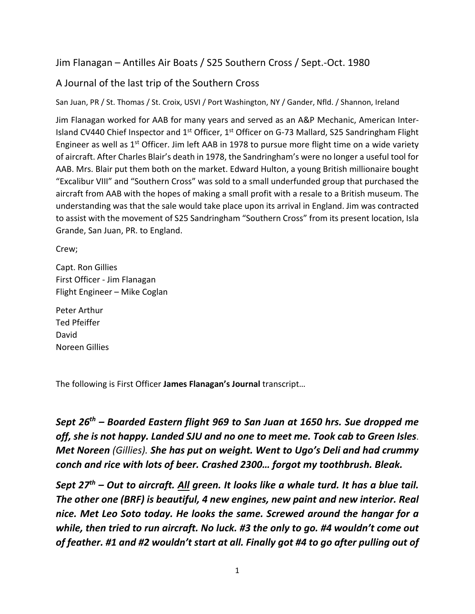## Jim Flanagan – Antilles Air Boats / S25 Southern Cross / Sept.‐Oct. 1980

## A Journal of the last trip of the Southern Cross

San Juan, PR / St. Thomas / St. Croix, USVI / Port Washington, NY / Gander, Nfld. / Shannon, Ireland

Jim Flanagan worked for AAB for many years and served as an A&P Mechanic, American Inter‐ Island CV440 Chief Inspector and 1<sup>st</sup> Officer, 1<sup>st</sup> Officer on G-73 Mallard, S25 Sandringham Flight Engineer as well as  $1^{st}$  Officer. Jim left AAB in 1978 to pursue more flight time on a wide variety of aircraft. After Charles Blair's death in 1978, the Sandringham's were no longer a useful tool for AAB. Mrs. Blair put them both on the market. Edward Hulton, a young British millionaire bought "Excalibur VIII" and "Southern Cross" was sold to a small underfunded group that purchased the aircraft from AAB with the hopes of making a small profit with a resale to a British museum. The understanding was that the sale would take place upon its arrival in England. Jim was contracted to assist with the movement of S25 Sandringham "Southern Cross" from its present location, Isla Grande, San Juan, PR. to England.

Crew;

Capt. Ron Gillies First Officer ‐ Jim Flanagan Flight Engineer – Mike Coglan

Peter Arthur Ted Pfeiffer David Noreen Gillies

The following is First Officer **James Flanagan's Journal** transcript…

*Sept 26th – Boarded Eastern flight 969 to San Juan at 1650 hrs. Sue dropped me off, she is not happy. Landed SJU and no one to meet me. Took cab to Green Isles*. *Met Noreen (Gillies). She has put on weight. Went to Ugo's Deli and had crummy conch and rice with lots of beer. Crashed 2300… forgot my toothbrush. Bleak.* 

*Sept 27th – Out to aircraft. All green. It looks like a whale turd. It has a blue tail. The other one (BRF) is beautiful, 4 new engines, new paint and new interior. Real nice. Met Leo Soto today. He looks the same. Screwed around the hangar for a while, then tried to run aircraft. No luck. #3 the only to go. #4 wouldn't come out of feather. #1 and #2 wouldn't start at all. Finally got #4 to go after pulling out of*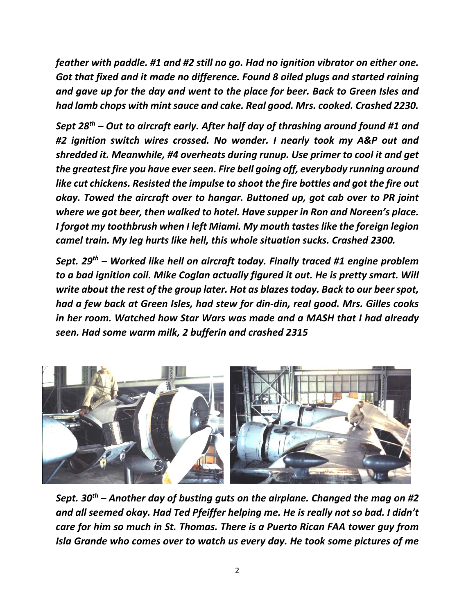*feather with paddle. #1 and #2 still no go. Had no ignition vibrator on either one. Got that fixed and it made no difference. Found 8 oiled plugs and started raining and gave up for the day and went to the place for beer. Back to Green Isles and had lamb chops with mint sauce and cake. Real good. Mrs. cooked. Crashed 2230.* 

*Sept 28th – Out to aircraft early. After half day of thrashing around found #1 and #2 ignition switch wires crossed. No wonder. I nearly took my A&P out and shredded it. Meanwhile, #4 overheats during runup. Use primer to cool it and get the greatest fire you have ever seen. Fire bell going off, everybody running around like cut chickens. Resisted the impulse to shoot the fire bottles and got the fire out okay. Towed the aircraft over to hangar. Buttoned up, got cab over to PR joint where we got beer, then walked to hotel. Have supper in Ron and Noreen's place. I forgot my toothbrush when I left Miami. My mouth tastes like the foreign legion camel train. My leg hurts like hell, this whole situation sucks. Crashed 2300.* 

*Sept. 29th – Worked like hell on aircraft today. Finally traced #1 engine problem to a bad ignition coil. Mike Coglan actually figured it out. He is pretty smart. Will write about the rest of the group later. Hot as blazes today. Back to our beer spot, had a few back at Green Isles, had stew for din‐din, real good. Mrs. Gilles cooks in her room. Watched how Star Wars was made and a MASH that I had already seen. Had some warm milk, 2 bufferin and crashed 2315* 



*Sept. 30th – Another day of busting guts on the airplane. Changed the mag on #2 and all seemed okay. Had Ted Pfeiffer helping me. He is really not so bad. I didn't care for him so much in St. Thomas. There is a Puerto Rican FAA tower guy from Isla Grande who comes over to watch us every day. He took some pictures of me*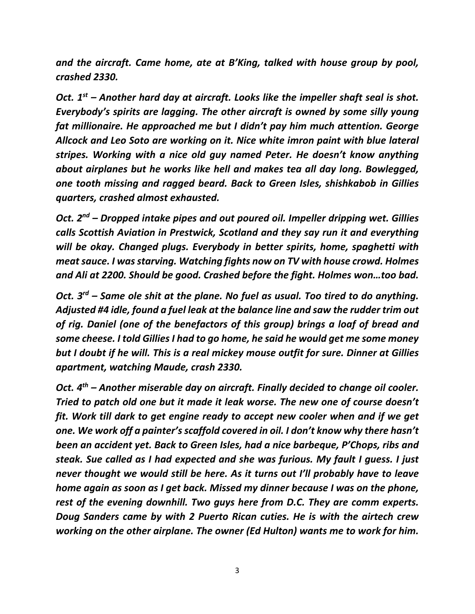*and the aircraft. Came home, ate at B'King, talked with house group by pool, crashed 2330.* 

*Oct. 1st – Another hard day at aircraft. Looks like the impeller shaft seal is shot. Everybody's spirits are lagging. The other aircraft is owned by some silly young fat millionaire. He approached me but I didn't pay him much attention. George Allcock and Leo Soto are working on it. Nice white imron paint with blue lateral stripes. Working with a nice old guy named Peter. He doesn't know anything about airplanes but he works like hell and makes tea all day long. Bowlegged, one tooth missing and ragged beard. Back to Green Isles, shishkabob in Gillies quarters, crashed almost exhausted.* 

*Oct. 2nd – Dropped intake pipes and out poured oil. Impeller dripping wet. Gillies calls Scottish Aviation in Prestwick, Scotland and they say run it and everything will be okay. Changed plugs. Everybody in better spirits, home, spaghetti with meat sauce. I was starving. Watching fights now on TV with house crowd. Holmes and Ali at 2200. Should be good. Crashed before the fight. Holmes won…too bad.* 

*Oct. 3rd – Same ole shit at the plane. No fuel as usual. Too tired to do anything. Adjusted #4 idle, found a fuel leak at the balance line and saw the rudder trim out of rig. Daniel (one of the benefactors of this group) brings a loaf of bread and some cheese. I told Gillies I had to go home, he said he would get me some money but I doubt if he will. This is a real mickey mouse outfit for sure. Dinner at Gillies apartment, watching Maude, crash 2330.* 

*Oct. 4th – Another miserable day on aircraft. Finally decided to change oil cooler. Tried to patch old one but it made it leak worse. The new one of course doesn't fit. Work till dark to get engine ready to accept new cooler when and if we get one. We work off a painter's scaffold covered in oil. I don't know why there hasn't been an accident yet. Back to Green Isles, had a nice barbeque, P'Chops, ribs and steak. Sue called as I had expected and she was furious. My fault I guess. I just never thought we would still be here. As it turns out I'll probably have to leave home again as soon as I get back. Missed my dinner because I was on the phone, rest of the evening downhill. Two guys here from D.C. They are comm experts. Doug Sanders came by with 2 Puerto Rican cuties. He is with the airtech crew working on the other airplane. The owner (Ed Hulton) wants me to work for him.*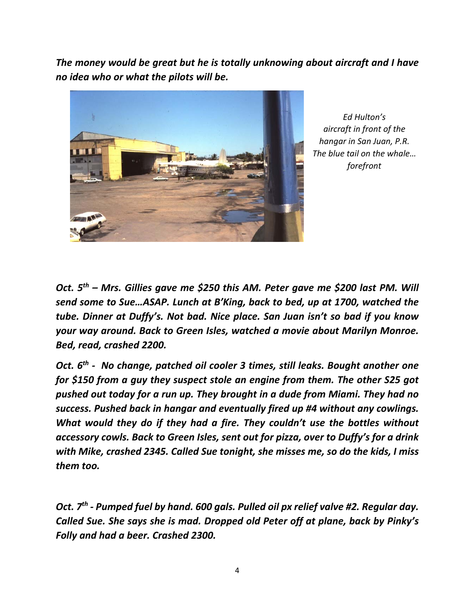*The money would be great but he is totally unknowing about aircraft and I have no idea who or what the pilots will be.* 



*Ed Hulton's aircraft in front of the hangar in San Juan, P.R. The blue tail on the whale… forefront* 

*Oct. 5th – Mrs. Gillies gave me \$250 this AM. Peter gave me \$200 last PM. Will send some to Sue…ASAP. Lunch at B'King, back to bed, up at 1700, watched the tube. Dinner at Duffy's. Not bad. Nice place. San Juan isn't so bad if you know your way around. Back to Green Isles, watched a movie about Marilyn Monroe. Bed, read, crashed 2200.* 

*Oct. 6th ‐ No change, patched oil cooler 3 times, still leaks. Bought another one for \$150 from a guy they suspect stole an engine from them. The other S25 got pushed out today for a run up. They brought in a dude from Miami. They had no success. Pushed back in hangar and eventually fired up #4 without any cowlings. What would they do if they had a fire. They couldn't use the bottles without accessory cowls. Back to Green Isles, sent out for pizza, over to Duffy's for a drink with Mike, crashed 2345. Called Sue tonight, she misses me, so do the kids, I miss them too.* 

*Oct. 7th ‐ Pumped fuel by hand. 600 gals. Pulled oil px relief valve #2. Regular day. Called Sue. She says she is mad. Dropped old Peter off at plane, back by Pinky's Folly and had a beer. Crashed 2300.*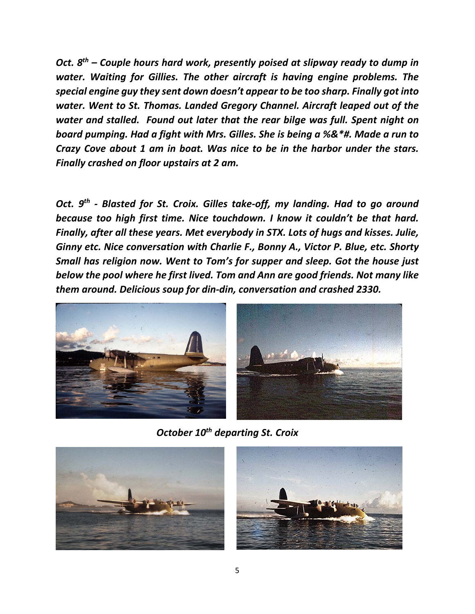*Oct. 8th – Couple hours hard work, presently poised at slipway ready to dump in water. Waiting for Gillies. The other aircraft is having engine problems. The special engine guy they sent down doesn't appear to be too sharp. Finally got into water. Went to St. Thomas. Landed Gregory Channel. Aircraft leaped out of the water and stalled. Found out later that the rear bilge was full. Spent night on board pumping. Had a fight with Mrs. Gilles. She is being a %&\*#. Made a run to Crazy Cove about 1 am in boat. Was nice to be in the harbor under the stars. Finally crashed on floor upstairs at 2 am.* 

Oct. 9<sup>th</sup> - Blasted for St. Croix. Gilles take-off, my landing. Had to go around *because too high first time. Nice touchdown. I know it couldn't be that hard. Finally, after all these years. Met everybody in STX. Lots of hugs and kisses. Julie, Ginny etc. Nice conversation with Charlie F., Bonny A., Victor P. Blue, etc. Shorty Small has religion now. Went to Tom's for supper and sleep. Got the house just below the pool where he first lived. Tom and Ann are good friends. Not many like them around. Delicious soup for din‐din, conversation and crashed 2330.* 



 *October 10th departing St. Croix* 



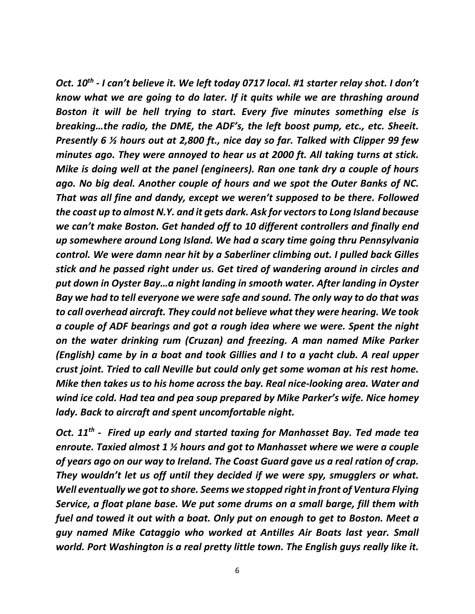*Oct. 10th ‐ I can't believe it. We left today 0717 local. #1 starter relay shot. I don't know what we are going to do later. If it quits while we are thrashing around Boston it will be hell trying to start. Every five minutes something else is breaking…the radio, the DME, the ADF's, the left boost pump, etc., etc. Sheeit. Presently 6 ½ hours out at 2,800 ft., nice day so far. Talked with Clipper 99 few minutes ago. They were annoyed to hear us at 2000 ft. All taking turns at stick. Mike is doing well at the panel (engineers). Ran one tank dry a couple of hours ago. No big deal. Another couple of hours and we spot the Outer Banks of NC. That was all fine and dandy, except we weren't supposed to be there. Followed the coast up to almost N.Y. and it gets dark. Ask for vectors to Long Island because we can't make Boston. Get handed off to 10 different controllers and finally end up somewhere around Long Island. We had a scary time going thru Pennsylvania control. We were damn near hit by a Saberliner climbing out. I pulled back Gilles stick and he passed right under us. Get tired of wandering around in circles and put down in Oyster Bay…a night landing in smooth water. After landing in Oyster Bay we had to tell everyone we were safe and sound. The only way to do that was to call overhead aircraft. They could not believe what they were hearing. We took a couple of ADF bearings and got a rough idea where we were. Spent the night on the water drinking rum (Cruzan) and freezing. A man named Mike Parker (English) came by in a boat and took Gillies and I to a yacht club. A real upper crust joint. Tried to call Neville but could only get some woman at his rest home. Mike then takes us to his home across the bay. Real nice‐looking area. Water and wind ice cold. Had tea and pea soup prepared by Mike Parker's wife. Nice homey lady. Back to aircraft and spent uncomfortable night.* 

Oct. 11<sup>th</sup> - Fired up early and started taxing for Manhasset Bay. Ted made tea *enroute. Taxied almost 1 ½ hours and got to Manhasset where we were a couple of years ago on our way to Ireland. The Coast Guard gave us a real ration of crap. They wouldn't let us off until they decided if we were spy, smugglers or what. Well eventually we got to shore. Seems we stopped right in front of Ventura Flying Service, a float plane base. We put some drums on a small barge, fill them with fuel and towed it out with a boat. Only put on enough to get to Boston. Meet a guy named Mike Cataggio who worked at Antilles Air Boats last year. Small world. Port Washington is a real pretty little town. The English guys really like it.*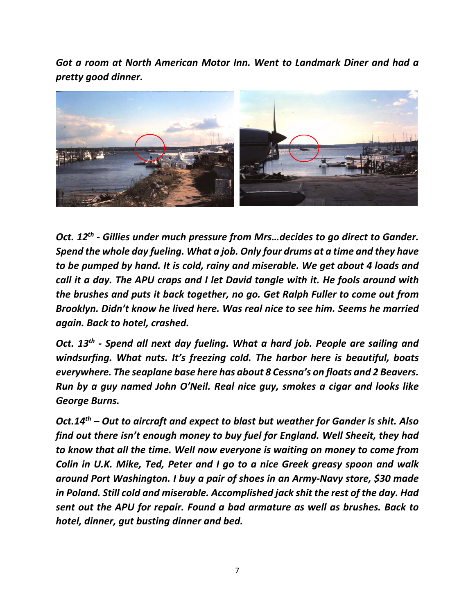*Got a room at North American Motor Inn. Went to Landmark Diner and had a pretty good dinner.* 



*Oct. 12th ‐ Gillies under much pressure from Mrs…decides to go direct to Gander. Spend the whole day fueling. What a job. Only four drums at a time and they have to be pumped by hand. It is cold, rainy and miserable. We get about 4 loads and call it a day. The APU craps and I let David tangle with it. He fools around with the brushes and puts it back together, no go. Get Ralph Fuller to come out from Brooklyn. Didn't know he lived here. Was real nice to see him. Seems he married again. Back to hotel, crashed.* 

*Oct. 13th ‐ Spend all next day fueling. What a hard job. People are sailing and*  windsurfing. What nuts. It's freezing cold. The harbor here is beautiful, boats *everywhere. The seaplane base here has about 8 Cessna's on floats and 2 Beavers. Run by a guy named John O'Neil. Real nice guy, smokes a cigar and looks like George Burns.* 

*Oct.14th – Out to aircraft and expect to blast but weather for Gander is shit. Also find out there isn't enough money to buy fuel for England. Well Sheeit, they had to know that all the time. Well now everyone is waiting on money to come from Colin in U.K. Mike, Ted, Peter and I go to a nice Greek greasy spoon and walk around Port Washington. I buy a pair of shoes in an Army‐Navy store, \$30 made in Poland. Still cold and miserable. Accomplished jack shit the rest of the day. Had sent out the APU for repair. Found a bad armature as well as brushes. Back to hotel, dinner, gut busting dinner and bed.*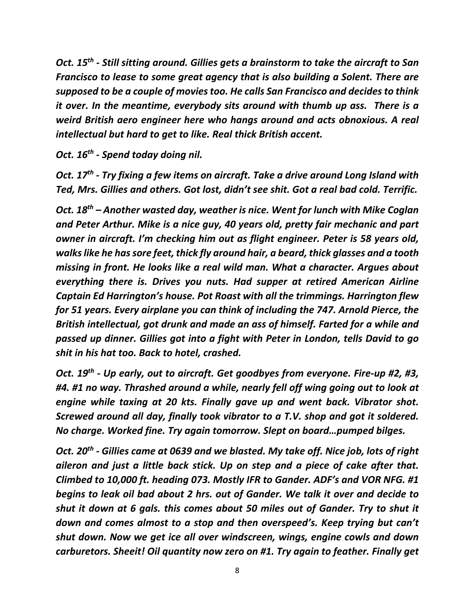*Oct. 15th ‐ Still sitting around. Gillies gets a brainstorm to take the aircraft to San Francisco to lease to some great agency that is also building a Solent. There are supposed to be a couple of movies too. He calls San Francisco and decides to think it over. In the meantime, everybody sits around with thumb up ass. There is a weird British aero engineer here who hangs around and acts obnoxious. A real intellectual but hard to get to like. Real thick British accent.* 

*Oct. 16th ‐ Spend today doing nil.* 

*Oct. 17th ‐ Try fixing a few items on aircraft. Take a drive around Long Island with Ted, Mrs. Gillies and others. Got lost, didn't see shit. Got a real bad cold. Terrific.* 

*Oct. 18th – Another wasted day, weather is nice. Went for lunch with Mike Coglan and Peter Arthur. Mike is a nice guy, 40 years old, pretty fair mechanic and part owner in aircraft. I'm checking him out as flight engineer. Peter is 58 years old, walks like he has sore feet, thick fly around hair, a beard, thick glasses and a tooth missing in front. He looks like a real wild man. What a character. Argues about everything there is. Drives you nuts. Had supper at retired American Airline Captain Ed Harrington's house. Pot Roast with all the trimmings. Harrington flew for 51 years. Every airplane you can think of including the 747. Arnold Pierce, the British intellectual, got drunk and made an ass of himself. Farted for a while and passed up dinner. Gillies got into a fight with Peter in London, tells David to go shit in his hat too. Back to hotel, crashed.* 

*Oct. 19th ‐ Up early, out to aircraft. Get goodbyes from everyone. Fire‐up #2, #3, #4. #1 no way. Thrashed around a while, nearly fell off wing going out to look at engine while taxing at 20 kts. Finally gave up and went back. Vibrator shot. Screwed around all day, finally took vibrator to a T.V. shop and got it soldered. No charge. Worked fine. Try again tomorrow. Slept on board…pumped bilges.* 

*Oct. 20th ‐ Gillies came at 0639 and we blasted. My take off. Nice job, lots of right aileron and just a little back stick. Up on step and a piece of cake after that. Climbed to 10,000 ft. heading 073. Mostly IFR to Gander. ADF's and VOR NFG. #1 begins to leak oil bad about 2 hrs. out of Gander. We talk it over and decide to shut it down at 6 gals. this comes about 50 miles out of Gander. Try to shut it down and comes almost to a stop and then overspeed's. Keep trying but can't shut down. Now we get ice all over windscreen, wings, engine cowls and down carburetors. Sheeit! Oil quantity now zero on #1. Try again to feather. Finally get*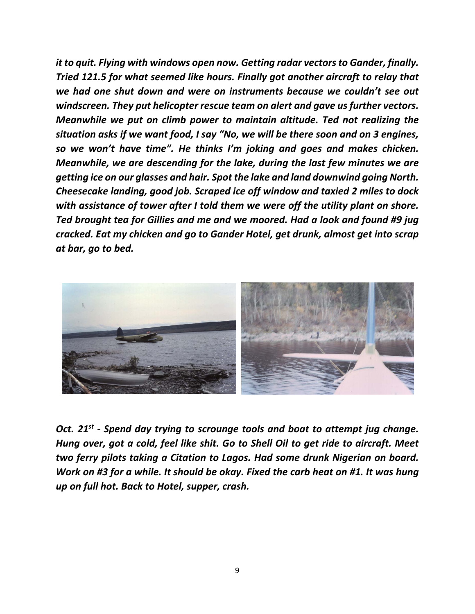*it to quit. Flying with windows open now. Getting radar vectors to Gander, finally. Tried 121.5 for what seemed like hours. Finally got another aircraft to relay that we had one shut down and were on instruments because we couldn't see out windscreen. They put helicopter rescue team on alert and gave us further vectors. Meanwhile we put on climb power to maintain altitude. Ted not realizing the situation asks if we want food, I say "No, we will be there soon and on 3 engines, so we won't have time". He thinks I'm joking and goes and makes chicken. Meanwhile, we are descending for the lake, during the last few minutes we are getting ice on our glasses and hair. Spot the lake and land downwind going North. Cheesecake landing, good job. Scraped ice off window and taxied 2 miles to dock with assistance of tower after I told them we were off the utility plant on shore. Ted brought tea for Gillies and me and we moored. Had a look and found #9 jug cracked. Eat my chicken and go to Gander Hotel, get drunk, almost get into scrap at bar, go to bed.* 



*Oct.* 21<sup>st</sup> - Spend day trying to scrounge tools and boat to attempt jug change. *Hung over, got a cold, feel like shit. Go to Shell Oil to get ride to aircraft. Meet two ferry pilots taking a Citation to Lagos. Had some drunk Nigerian on board. Work on #3 for a while. It should be okay. Fixed the carb heat on #1. It was hung up on full hot. Back to Hotel, supper, crash.*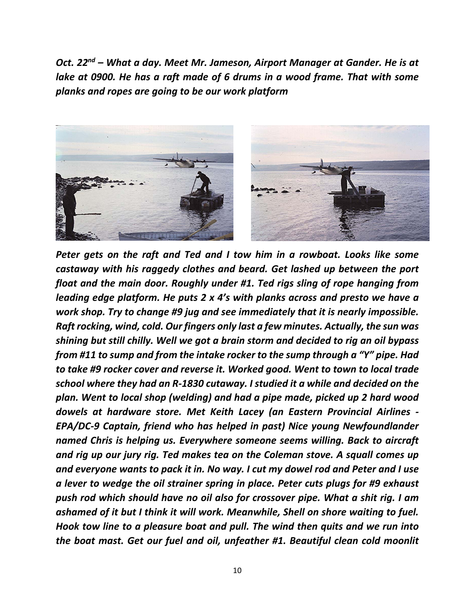*Oct. 22nd – What a day. Meet Mr. Jameson, Airport Manager at Gander. He is at*  lake at 0900. He has a raft made of 6 drums in a wood frame. That with some *planks and ropes are going to be our work platform* 



*Peter gets on the raft and Ted and I tow him in a rowboat. Looks like some castaway with his raggedy clothes and beard. Get lashed up between the port float and the main door. Roughly under #1. Ted rigs sling of rope hanging from leading edge platform. He puts 2 x 4's with planks across and presto we have a work shop. Try to change #9 jug and see immediately that it is nearly impossible. Raft rocking, wind, cold. Our fingers only last a few minutes. Actually, the sun was shining but still chilly. Well we got a brain storm and decided to rig an oil bypass from #11 to sump and from the intake rocker to the sump through a "Y" pipe. Had to take #9 rocker cover and reverse it. Worked good. Went to town to local trade school where they had an R‐1830 cutaway. I studied it a while and decided on the plan. Went to local shop (welding) and had a pipe made, picked up 2 hard wood dowels at hardware store. Met Keith Lacey (an Eastern Provincial Airlines ‐ EPA/DC‐9 Captain, friend who has helped in past) Nice young Newfoundlander named Chris is helping us. Everywhere someone seems willing. Back to aircraft and rig up our jury rig. Ted makes tea on the Coleman stove. A squall comes up and everyone wants to pack it in. No way. I cut my dowel rod and Peter and I use a lever to wedge the oil strainer spring in place. Peter cuts plugs for #9 exhaust push rod which should have no oil also for crossover pipe. What a shit rig. I am ashamed of it but I think it will work. Meanwhile, Shell on shore waiting to fuel. Hook tow line to a pleasure boat and pull. The wind then quits and we run into the boat mast. Get our fuel and oil, unfeather #1. Beautiful clean cold moonlit*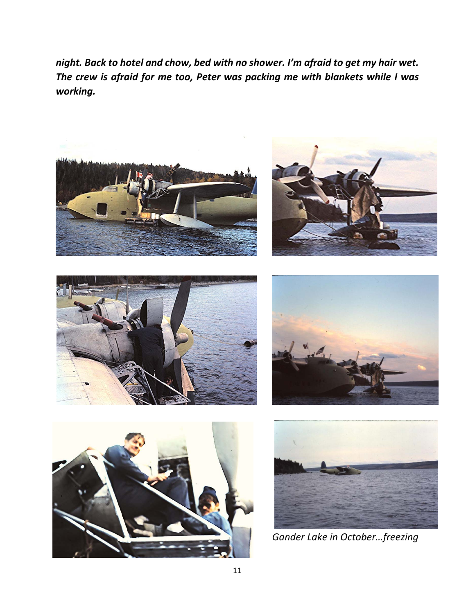*night. Back to hotel and chow, bed with no shower. I'm afraid to get my hair wet. The crew is afraid for me too, Peter was packing me with blankets while I was working.* 













 *Gander Lake in October…freezing*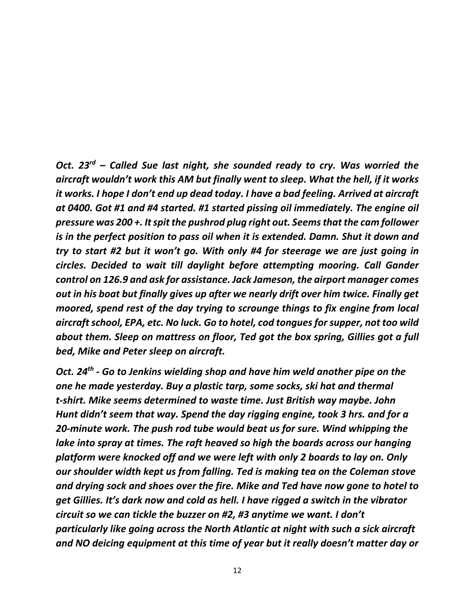*Oct. 23rd – Called Sue last night, she sounded ready to cry. Was worried the aircraft wouldn't work this AM but finally went to sleep. What the hell, if it works it works. I hope I don't end up dead today. I have a bad feeling. Arrived at aircraft at 0400. Got #1 and #4 started. #1 started pissing oil immediately. The engine oil pressure was 200 +. It spit the pushrod plug right out. Seems that the cam follower is in the perfect position to pass oil when it is extended. Damn. Shut it down and try to start #2 but it won't go. With only #4 for steerage we are just going in circles. Decided to wait till daylight before attempting mooring. Call Gander control on 126.9 and ask for assistance. Jack Jameson, the airport manager comes out in his boat but finally gives up after we nearly drift over him twice. Finally get moored, spend rest of the day trying to scrounge things to fix engine from local aircraft school, EPA, etc. No luck. Go to hotel, cod tongues for supper, not too wild about them. Sleep on mattress on floor, Ted got the box spring, Gillies got a full bed, Mike and Peter sleep on aircraft.* 

*Oct. 24th ‐ Go to Jenkins wielding shop and have him weld another pipe on the one he made yesterday. Buy a plastic tarp, some socks, ski hat and thermal t‐shirt. Mike seems determined to waste time. Just British way maybe. John Hunt didn't seem that way. Spend the day rigging engine, took 3 hrs. and for a 20‐minute work. The push rod tube would beat us for sure. Wind whipping the lake into spray at times. The raft heaved so high the boards across our hanging platform were knocked off and we were left with only 2 boards to lay on. Only our shoulder width kept us from falling. Ted is making tea on the Coleman stove and drying sock and shoes over the fire. Mike and Ted have now gone to hotel to get Gillies. It's dark now and cold as hell. I have rigged a switch in the vibrator circuit so we can tickle the buzzer on #2, #3 anytime we want. I don't particularly like going across the North Atlantic at night with such a sick aircraft and NO deicing equipment at this time of year but it really doesn't matter day or*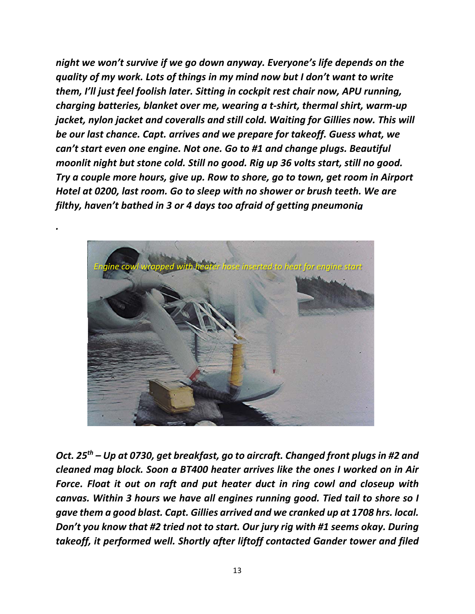*night we won't survive if we go down anyway. Everyone's life depends on the quality of my work. Lots of things in my mind now but I don't want to write them, I'll just feel foolish later. Sitting in cockpit rest chair now, APU running, charging batteries, blanket over me, wearing a t‐shirt, thermal shirt, warm‐up jacket, nylon jacket and coveralls and still cold. Waiting for Gillies now. This will be our last chance. Capt. arrives and we prepare for takeoff. Guess what, we can't start even one engine. Not one. Go to #1 and change plugs. Beautiful moonlit night but stone cold. Still no good. Rig up 36 volts start, still no good. Try a couple more hours, give up. Row to shore, go to town, get room in Airport Hotel at 0200, last room. Go to sleep with no shower or brush teeth. We are filthy, haven't bathed in 3 or 4 days too afraid of getting pneumonia* 



*.* 

*Oct. 25th – Up at 0730, get breakfast, go to aircraft. Changed front plugs in #2 and cleaned mag block. Soon a BT400 heater arrives like the ones I worked on in Air Force. Float it out on raft and put heater duct in ring cowl and closeup with canvas. Within 3 hours we have all engines running good. Tied tail to shore so I gave them a good blast. Capt. Gillies arrived and we cranked up at 1708 hrs. local. Don't you know that #2 tried not to start. Our jury rig with #1 seems okay. During takeoff, it performed well. Shortly after liftoff contacted Gander tower and filed*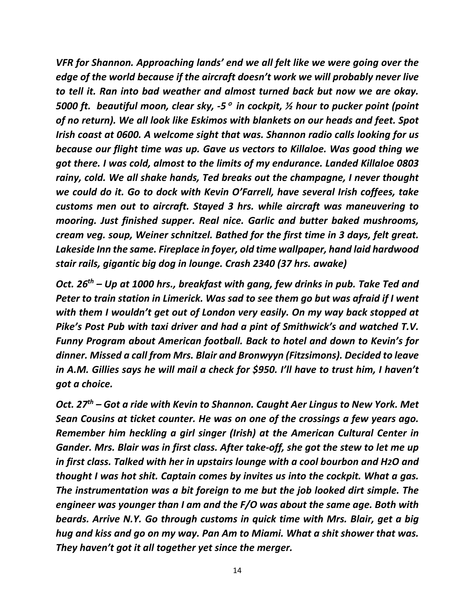*VFR for Shannon. Approaching lands' end we all felt like we were going over the edge of the world because if the aircraft doesn't work we will probably never live to tell it. Ran into bad weather and almost turned back but now we are okay. 5000 ft. beautiful moon, clear sky, ‐5 in cockpit, ½ hour to pucker point (point of no return). We all look like Eskimos with blankets on our heads and feet. Spot Irish coast at 0600. A welcome sight that was. Shannon radio calls looking for us because our flight time was up. Gave us vectors to Killaloe. Was good thing we got there. I was cold, almost to the limits of my endurance. Landed Killaloe 0803 rainy, cold. We all shake hands, Ted breaks out the champagne, I never thought we could do it. Go to dock with Kevin O'Farrell, have several Irish coffees, take customs men out to aircraft. Stayed 3 hrs. while aircraft was maneuvering to mooring. Just finished supper. Real nice. Garlic and butter baked mushrooms, cream veg. soup, Weiner schnitzel. Bathed for the first time in 3 days, felt great. Lakeside Inn the same. Fireplace in foyer, old time wallpaper, hand laid hardwood stair rails, gigantic big dog in lounge. Crash 2340 (37 hrs. awake)* 

*Oct. 26th – Up at 1000 hrs., breakfast with gang, few drinks in pub. Take Ted and Peter to train station in Limerick. Was sad to see them go but was afraid if I went with them I wouldn't get out of London very easily. On my way back stopped at Pike's Post Pub with taxi driver and had a pint of Smithwick's and watched T.V. Funny Program about American football. Back to hotel and down to Kevin's for dinner. Missed a call from Mrs. Blair and Bronwyyn (Fitzsimons). Decided to leave in A.M. Gillies says he will mail a check for \$950. I'll have to trust him, I haven't got a choice.* 

*Oct. 27th – Got a ride with Kevin to Shannon. Caught Aer Lingus to New York. Met Sean Cousins at ticket counter. He was on one of the crossings a few years ago. Remember him heckling a girl singer (Irish) at the American Cultural Center in Gander. Mrs. Blair was in first class. After take‐off, she got the stew to let me up in first class. Talked with her in upstairs lounge with a cool bourbon and H2O and thought I was hot shit. Captain comes by invites us into the cockpit. What a gas. The instrumentation was a bit foreign to me but the job looked dirt simple. The engineer was younger than I am and the F/O was about the same age. Both with beards. Arrive N.Y. Go through customs in quick time with Mrs. Blair, get a big hug and kiss and go on my way. Pan Am to Miami. What a shit shower that was. They haven't got it all together yet since the merger.*